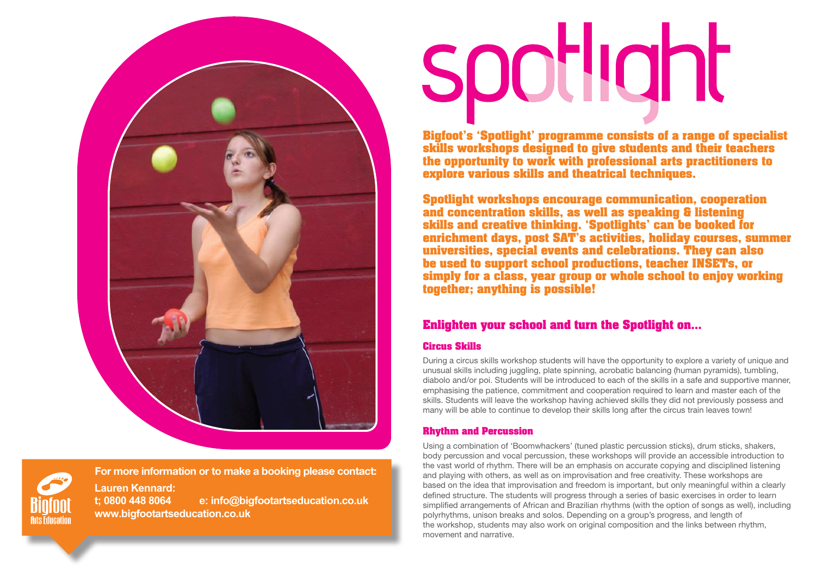



**Arts Educatio** 

# spotlight

**Bigfoot's 'Spotlight' programme consists of a range of specialist skills workshops designed to give students and their teachers the opportunity to work with professional arts practitioners to explore various skills and theatrical techniques.** 

**Spotlight workshops encourage communication, cooperation and concentration skills, as well as speaking & listening skills and creative thinking. 'Spotlights' can be booked for enrichment days, post SAT's activities, holiday courses, summer universities, special events and celebrations. They can also be used to support school productions, teacher INSETs, or simply for a class, year group or whole school to enjoy working together; anything is possible!**

# **Enlighten your school and turn the Spotlight on…**

# **Circus Skills**

During a circus skills workshop students will have the opportunity to explore a variety of unique and unusual skills including juggling, plate spinning, acrobatic balancing (human pyramids), tumbling, diabolo and/or poi. Students will be introduced to each of the skills in a safe and supportive manner, emphasising the patience, commitment and cooperation required to learn and master each of the skills. Students will leave the workshop having achieved skills they did not previously possess and many will be able to continue to develop their skills long after the circus train leaves town!

# **Rhythm and Percussion**

Using a combination of 'Boomwhackers' (tuned plastic percussion sticks), drum sticks, shakers, body percussion and vocal percussion, these workshops will provide an accessible introduction to the vast world of rhythm. There will be an emphasis on accurate copying and disciplined listening and playing with others, as well as on improvisation and free creativity. These workshops are based on the idea that improvisation and freedom is important, but only meaningful within a clearly defined structure. The students will progress through a series of basic exercises in order to learn simplified arrangements of African and Brazilian rhythms (with the option of songs as well), including polyrhythms, unison breaks and solos. Depending on a group's progress, and length of the workshop, students may also work on original composition and the links between rhythm, movement and narrative.